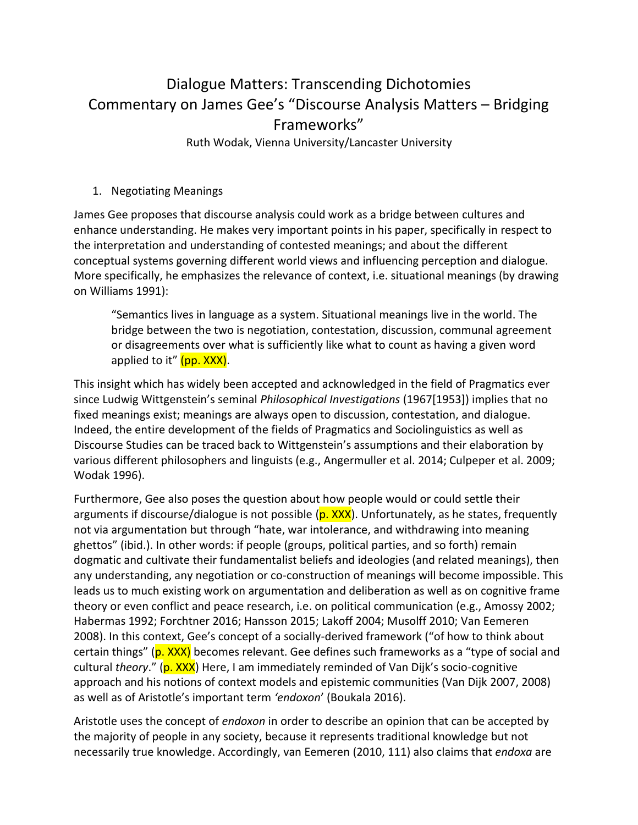## Dialogue Matters: Transcending Dichotomies Commentary on James Gee's "Discourse Analysis Matters – Bridging Frameworks"

Ruth Wodak, Vienna University/Lancaster University

## 1. Negotiating Meanings

James Gee proposes that discourse analysis could work as a bridge between cultures and enhance understanding. He makes very important points in his paper, specifically in respect to the interpretation and understanding of contested meanings; and about the different conceptual systems governing different world views and influencing perception and dialogue. More specifically, he emphasizes the relevance of context, i.e. situational meanings (by drawing on Williams 1991):

"Semantics lives in language as a system. Situational meanings live in the world. The bridge between the two is negotiation, contestation, discussion, communal agreement or disagreements over what is sufficiently like what to count as having a given word applied to it" (pp. XXX).

This insight which has widely been accepted and acknowledged in the field of Pragmatics ever since Ludwig Wittgenstein's seminal *Philosophical Investigations* (1967[1953]) implies that no fixed meanings exist; meanings are always open to discussion, contestation, and dialogue. Indeed, the entire development of the fields of Pragmatics and Sociolinguistics as well as Discourse Studies can be traced back to Wittgenstein's assumptions and their elaboration by various different philosophers and linguists (e.g., Angermuller et al. 2014; Culpeper et al. 2009; Wodak 1996).

Furthermore, Gee also poses the question about how people would or could settle their arguments if discourse/dialogue is not possible (p. XXX). Unfortunately, as he states, frequently not via argumentation but through "hate, war intolerance, and withdrawing into meaning ghettos" (ibid.). In other words: if people (groups, political parties, and so forth) remain dogmatic and cultivate their fundamentalist beliefs and ideologies (and related meanings), then any understanding, any negotiation or co-construction of meanings will become impossible. This leads us to much existing work on argumentation and deliberation as well as on cognitive frame theory or even conflict and peace research, i.e. on political communication (e.g., Amossy 2002; Habermas 1992; Forchtner 2016; Hansson 2015; Lakoff 2004; Musolff 2010; Van Eemeren 2008). In this context, Gee's concept of a socially-derived framework ("of how to think about certain things" (p. XXX) becomes relevant. Gee defines such frameworks as a "type of social and cultural *theory*." (p. XXX) Here, I am immediately reminded of Van Dijk's socio-cognitive approach and his notions of context models and epistemic communities (Van Dijk 2007, 2008) as well as of Aristotle's important term *'endoxon*' (Boukala 2016).

Aristotle uses the concept of *endoxon* in order to describe an opinion that can be accepted by the majority of people in any society, because it represents traditional knowledge but not necessarily true knowledge. Accordingly, van Eemeren (2010, 111) also claims that *endoxa* are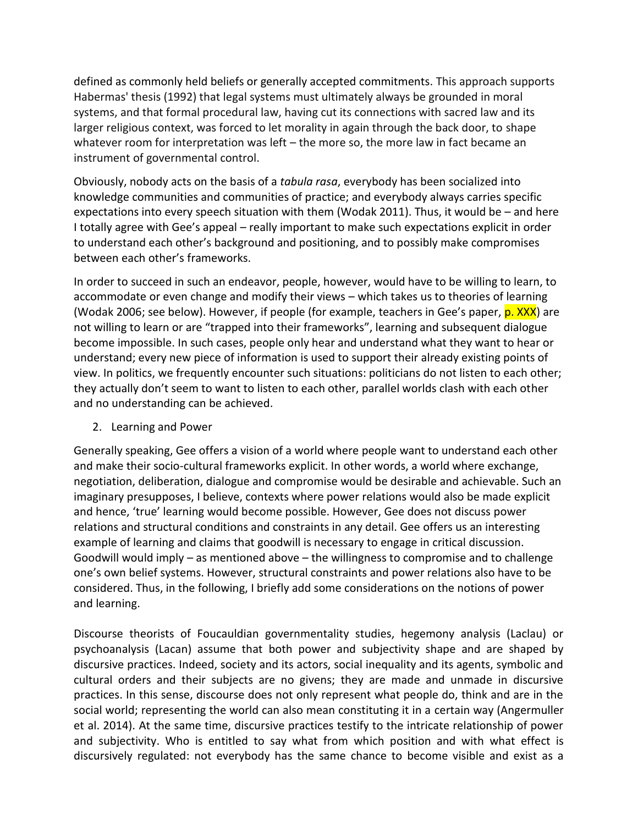defined as commonly held beliefs or generally accepted commitments. This approach supports Habermas' thesis (1992) that legal systems must ultimately always be grounded in moral systems, and that formal procedural law, having cut its connections with sacred law and its larger religious context, was forced to let morality in again through the back door, to shape whatever room for interpretation was left - the more so, the more law in fact became an instrument of governmental control.

Obviously, nobody acts on the basis of a *tabula rasa*, everybody has been socialized into knowledge communities and communities of practice; and everybody always carries specific expectations into every speech situation with them (Wodak 2011). Thus, it would be – and here I totally agree with Gee's appeal – really important to make such expectations explicit in order to understand each other's background and positioning, and to possibly make compromises between each other's frameworks.

In order to succeed in such an endeavor, people, however, would have to be willing to learn, to accommodate or even change and modify their views – which takes us to theories of learning (Wodak 2006; see below). However, if people (for example, teachers in Gee's paper, p. XXX) are not willing to learn or are "trapped into their frameworks", learning and subsequent dialogue become impossible. In such cases, people only hear and understand what they want to hear or understand; every new piece of information is used to support their already existing points of view. In politics, we frequently encounter such situations: politicians do not listen to each other; they actually don't seem to want to listen to each other, parallel worlds clash with each other and no understanding can be achieved.

2. Learning and Power

Generally speaking, Gee offers a vision of a world where people want to understand each other and make their socio-cultural frameworks explicit. In other words, a world where exchange, negotiation, deliberation, dialogue and compromise would be desirable and achievable. Such an imaginary presupposes, I believe, contexts where power relations would also be made explicit and hence, 'true' learning would become possible. However, Gee does not discuss power relations and structural conditions and constraints in any detail. Gee offers us an interesting example of learning and claims that goodwill is necessary to engage in critical discussion. Goodwill would imply – as mentioned above – the willingness to compromise and to challenge one's own belief systems. However, structural constraints and power relations also have to be considered. Thus, in the following, I briefly add some considerations on the notions of power and learning.

Discourse theorists of Foucauldian governmentality studies, hegemony analysis (Laclau) or psychoanalysis (Lacan) assume that both power and subjectivity shape and are shaped by discursive practices. Indeed, society and its actors, social inequality and its agents, symbolic and cultural orders and their subjects are no givens; they are made and unmade in discursive practices. In this sense, discourse does not only represent what people do, think and are in the social world; representing the world can also mean constituting it in a certain way (Angermuller et al. 2014). At the same time, discursive practices testify to the intricate relationship of power and subjectivity. Who is entitled to say what from which position and with what effect is discursively regulated: not everybody has the same chance to become visible and exist as a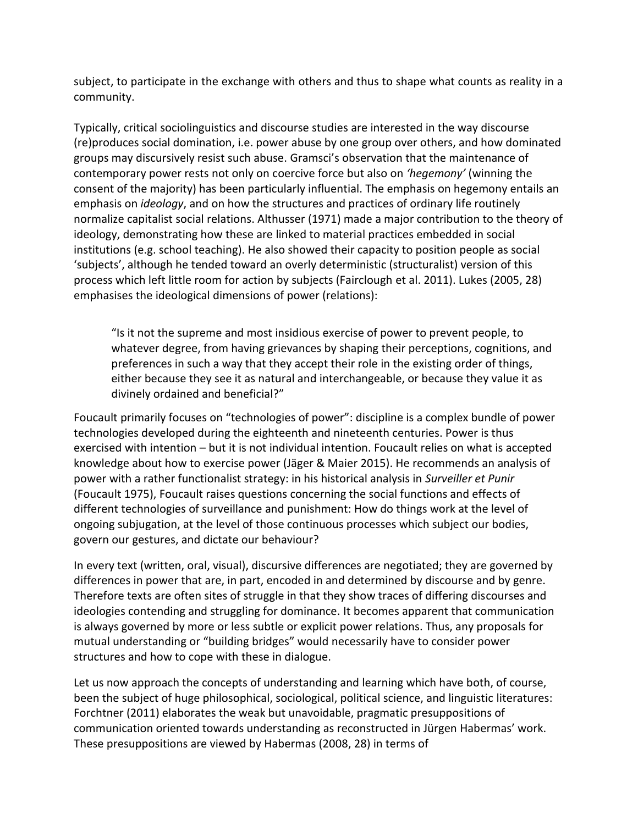subject, to participate in the exchange with others and thus to shape what counts as reality in a community.

Typically, critical sociolinguistics and discourse studies are interested in the way discourse (re)produces social domination, i.e. power abuse by one group over others, and how dominated groups may discursively resist such abuse. Gramsci's observation that the maintenance of contemporary power rests not only on coercive force but also on *'hegemony'* (winning the consent of the majority) has been particularly influential. The emphasis on hegemony entails an emphasis on *ideology*, and on how the structures and practices of ordinary life routinely normalize capitalist social relations. Althusser (1971) made a major contribution to the theory of ideology, demonstrating how these are linked to material practices embedded in social institutions (e.g. school teaching). He also showed their capacity to position people as social 'subjects', although he tended toward an overly deterministic (structuralist) version of this process which left little room for action by subjects (Fairclough et al. 2011). Lukes (2005, 28) emphasises the ideological dimensions of power (relations):

"Is it not the supreme and most insidious exercise of power to prevent people, to whatever degree, from having grievances by shaping their perceptions, cognitions, and preferences in such a way that they accept their role in the existing order of things, either because they see it as natural and interchangeable, or because they value it as divinely ordained and beneficial?"

Foucault primarily focuses on "technologies of power": discipline is a complex bundle of power technologies developed during the eighteenth and nineteenth centuries. Power is thus exercised with intention – but it is not individual intention. Foucault relies on what is accepted knowledge about how to exercise power (Jäger & Maier 2015). He recommends an analysis of power with a rather functionalist strategy: in his historical analysis in *Surveiller et Punir*  (Foucault 1975), Foucault raises questions concerning the social functions and effects of different technologies of surveillance and punishment: How do things work at the level of ongoing subjugation, at the level of those continuous processes which subject our bodies, govern our gestures, and dictate our behaviour?

In every text (written, oral, visual), discursive differences are negotiated; they are governed by differences in power that are, in part, encoded in and determined by discourse and by genre. Therefore texts are often sites of struggle in that they show traces of differing discourses and ideologies contending and struggling for dominance. It becomes apparent that communication is always governed by more or less subtle or explicit power relations. Thus, any proposals for mutual understanding or "building bridges" would necessarily have to consider power structures and how to cope with these in dialogue.

Let us now approach the concepts of understanding and learning which have both, of course, been the subject of huge philosophical, sociological, political science, and linguistic literatures: Forchtner (2011) elaborates the weak but unavoidable, pragmatic presuppositions of communication oriented towards understanding as reconstructed in Jürgen Habermas' work. These presuppositions are viewed by Habermas (2008, 28) in terms of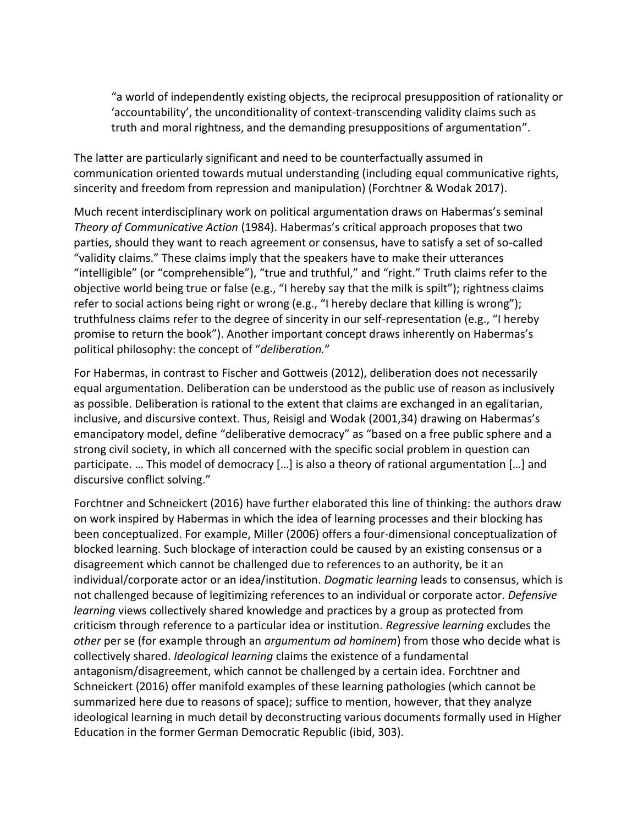"a world of independently existing objects, the reciprocal presupposition of rationality or 'accountability', the unconditionality of context-transcending validity claims such as truth and moral rightness, and the demanding presuppositions of argumentation".

The latter are particularly significant and need to be counterfactually assumed in communication oriented towards mutual understanding (including equal communicative rights, sincerity and freedom from repression and manipulation) (Forchtner & Wodak 2017).

Much recent interdisciplinary work on political argumentation draws on Habermas's seminal *Theory of Communicative Action* (1984). Habermas's critical approach proposes that two parties, should they want to reach agreement or consensus, have to satisfy a set of so-called "validity claims." These claims imply that the speakers have to make their utterances "intelligible" (or "comprehensible"), "true and truthful," and "right." Truth claims refer to the objective world being true or false (e.g., "I hereby say that the milk is spilt"); rightness claims refer to social actions being right or wrong (e.g., "I hereby declare that killing is wrong"); truthfulness claims refer to the degree of sincerity in our self-representation (e.g., "I hereby promise to return the book"). Another important concept draws inherently on Habermas's political philosophy: the concept of "*deliberation.*"

For Habermas, in contrast to Fischer and Gottweis (2012), deliberation does not necessarily equal argumentation. Deliberation can be understood as the public use of reason as inclusively as possible. Deliberation is rational to the extent that claims are exchanged in an egalitarian, inclusive, and discursive context. Thus, Reisigl and Wodak (2001,34) drawing on Habermas's emancipatory model, define "deliberative democracy" as "based on a free public sphere and a strong civil society, in which all concerned with the specific social problem in question can participate. … This model of democracy […] is also a theory of rational argumentation […] and discursive conflict solving."

Forchtner and Schneickert (2016) have further elaborated this line of thinking: the authors draw on work inspired by Habermas in which the idea of learning processes and their blocking has been conceptualized. For example, Miller (2006) offers a four-dimensional conceptualization of blocked learning. Such blockage of interaction could be caused by an existing consensus or a disagreement which cannot be challenged due to references to an authority, be it an individual/corporate actor or an idea/institution. *Dogmatic learning* leads to consensus, which is not challenged because of legitimizing references to an individual or corporate actor. *Defensive learning* views collectively shared knowledge and practices by a group as protected from criticism through reference to a particular idea or institution. *Regressive learning* excludes the *other* per se (for example through an *argumentum ad hominem*) from those who decide what is collectively shared. *Ideological learning* claims the existence of a fundamental antagonism/disagreement, which cannot be challenged by a certain idea. Forchtner and Schneickert (2016) offer manifold examples of these learning pathologies (which cannot be summarized here due to reasons of space); suffice to mention, however, that they analyze ideological learning in much detail by deconstructing various documents formally used in Higher Education in the former German Democratic Republic (ibid, 303).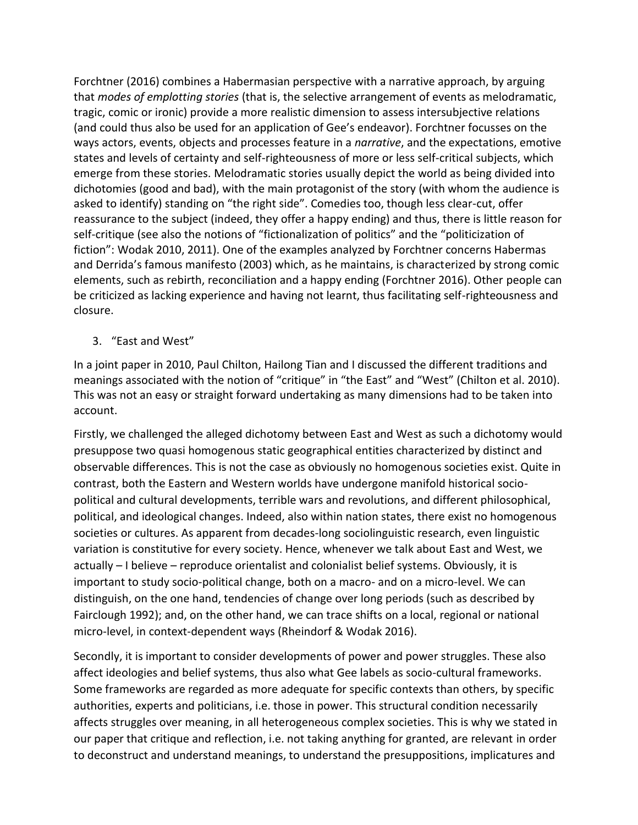Forchtner (2016) combines a Habermasian perspective with a narrative approach, by arguing that *modes of emplotting stories* (that is, the selective arrangement of events as melodramatic, tragic, comic or ironic) provide a more realistic dimension to assess intersubjective relations (and could thus also be used for an application of Gee's endeavor). Forchtner focusses on the ways actors, events, objects and processes feature in a *narrative*, and the expectations, emotive states and levels of certainty and self-righteousness of more or less self-critical subjects, which emerge from these stories. Melodramatic stories usually depict the world as being divided into dichotomies (good and bad), with the main protagonist of the story (with whom the audience is asked to identify) standing on "the right side". Comedies too, though less clear-cut, offer reassurance to the subject (indeed, they offer a happy ending) and thus, there is little reason for self-critique (see also the notions of "fictionalization of politics" and the "politicization of fiction": Wodak 2010, 2011). One of the examples analyzed by Forchtner concerns Habermas and Derrida's famous manifesto (2003) which, as he maintains, is characterized by strong comic elements, such as rebirth, reconciliation and a happy ending (Forchtner 2016). Other people can be criticized as lacking experience and having not learnt, thus facilitating self-righteousness and closure.

3. "East and West"

In a joint paper in 2010, Paul Chilton, Hailong Tian and I discussed the different traditions and meanings associated with the notion of "critique" in "the East" and "West" (Chilton et al. 2010). This was not an easy or straight forward undertaking as many dimensions had to be taken into account.

Firstly, we challenged the alleged dichotomy between East and West as such a dichotomy would presuppose two quasi homogenous static geographical entities characterized by distinct and observable differences. This is not the case as obviously no homogenous societies exist. Quite in contrast, both the Eastern and Western worlds have undergone manifold historical sociopolitical and cultural developments, terrible wars and revolutions, and different philosophical, political, and ideological changes. Indeed, also within nation states, there exist no homogenous societies or cultures. As apparent from decades-long sociolinguistic research, even linguistic variation is constitutive for every society. Hence, whenever we talk about East and West, we actually – I believe – reproduce orientalist and colonialist belief systems. Obviously, it is important to study socio-political change, both on a macro- and on a micro-level. We can distinguish, on the one hand, tendencies of change over long periods (such as described by Fairclough 1992); and, on the other hand, we can trace shifts on a local, regional or national micro-level, in context-dependent ways (Rheindorf & Wodak 2016).

Secondly, it is important to consider developments of power and power struggles. These also affect ideologies and belief systems, thus also what Gee labels as socio-cultural frameworks. Some frameworks are regarded as more adequate for specific contexts than others, by specific authorities, experts and politicians, i.e. those in power. This structural condition necessarily affects struggles over meaning, in all heterogeneous complex societies. This is why we stated in our paper that critique and reflection, i.e. not taking anything for granted, are relevant in order to deconstruct and understand meanings, to understand the presuppositions, implicatures and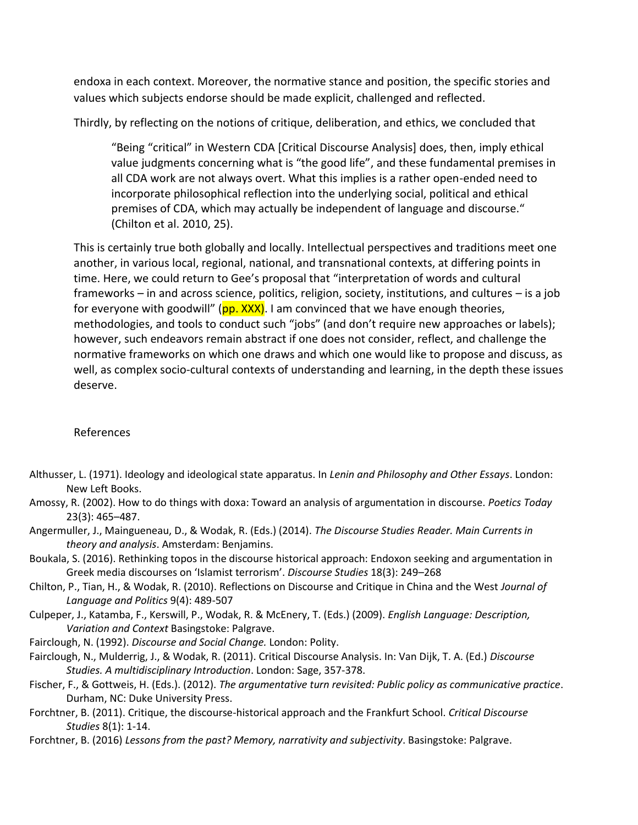endoxa in each context. Moreover, the normative stance and position, the specific stories and values which subjects endorse should be made explicit, challenged and reflected.

Thirdly, by reflecting on the notions of critique, deliberation, and ethics, we concluded that

"Being "critical" in Western CDA [Critical Discourse Analysis] does, then, imply ethical value judgments concerning what is "the good life", and these fundamental premises in all CDA work are not always overt. What this implies is a rather open-ended need to incorporate philosophical reflection into the underlying social, political and ethical premises of CDA, which may actually be independent of language and discourse." (Chilton et al. 2010, 25).

This is certainly true both globally and locally. Intellectual perspectives and traditions meet one another, in various local, regional, national, and transnational contexts, at differing points in time. Here, we could return to Gee's proposal that "interpretation of words and cultural frameworks – in and across science, politics, religion, society, institutions, and cultures – is a job for everyone with goodwill" (pp. XXX). I am convinced that we have enough theories, methodologies, and tools to conduct such "jobs" (and don't require new approaches or labels); however, such endeavors remain abstract if one does not consider, reflect, and challenge the normative frameworks on which one draws and which one would like to propose and discuss, as well, as complex socio-cultural contexts of understanding and learning, in the depth these issues deserve.

## References

- Althusser, L. (1971). Ideology and ideological state apparatus. In *Lenin and Philosophy and Other Essays*. London: New Left Books.
- Amossy, R. (2002). How to do things with doxa: Toward an analysis of argumentation in discourse. *Poetics Today* 23(3): 465–487.
- Angermuller, J., Maingueneau, D., & Wodak, R. (Eds.) (2014). *The Discourse Studies Reader. Main Currents in theory and analysis*. Amsterdam: Benjamins.
- Boukala, S. (2016). Rethinking topos in the discourse historical approach: Endoxon seeking and argumentation in Greek media discourses on 'Islamist terrorism'. *Discourse Studies* 18(3): 249–268
- Chilton, P., Tian, H., & Wodak, R. (2010). Reflections on Discourse and Critique in China and the West *Journal of Language and Politics* 9(4): 489-507
- Culpeper, J., Katamba, F., Kerswill, P., Wodak, R. & McEnery, T. (Eds.) (2009). *English Language: Description, Variation and Context* Basingstoke: Palgrave.
- Fairclough, N. (1992). *Discourse and Social Change.* London: Polity.
- Fairclough, N., Mulderrig, J., & Wodak, R. (2011). Critical Discourse Analysis. In: Van Dijk, T. A. (Ed.) *Discourse Studies. A multidisciplinary Introduction*. London: Sage, 357-378.
- Fischer, F., & Gottweis, H. (Eds.). (2012). *The argumentative turn revisited: Public policy as communicative practice*. Durham, NC: Duke University Press.
- Forchtner, B. (2011). Critique, the discourse-historical approach and the Frankfurt School. *Critical Discourse Studies* 8(1): 1-14.
- Forchtner, B. (2016) *Lessons from the past? Memory, narrativity and subjectivity*. Basingstoke: Palgrave.